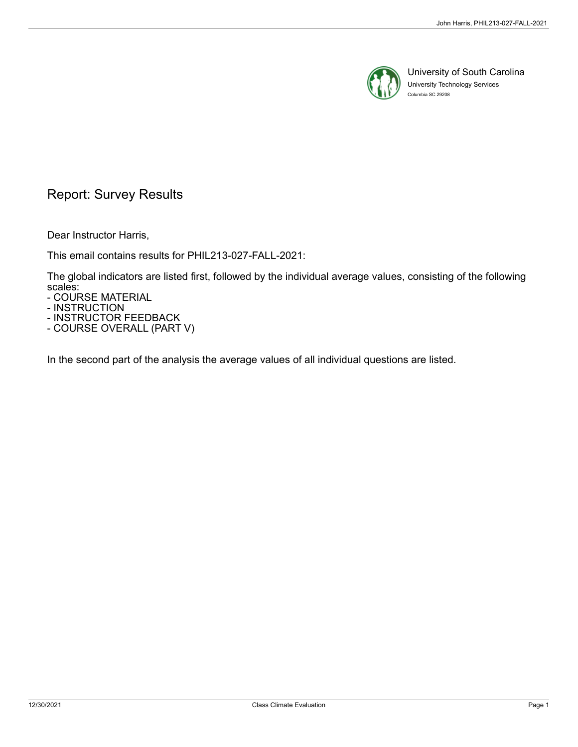

University of South Carolina University Technology Services Columbia SC 29208

## Report: Survey Results

Dear Instructor Harris,

This email contains results for PHIL213-027-FALL-2021:

The global indicators are listed first, followed by the individual average values, consisting of the following scales:

- COURSE MATERIAL

- INSTRUCTION

- INSTRUCTOR FEEDBACK - COURSE OVERALL (PART V)

In the second part of the analysis the average values of all individual questions are listed.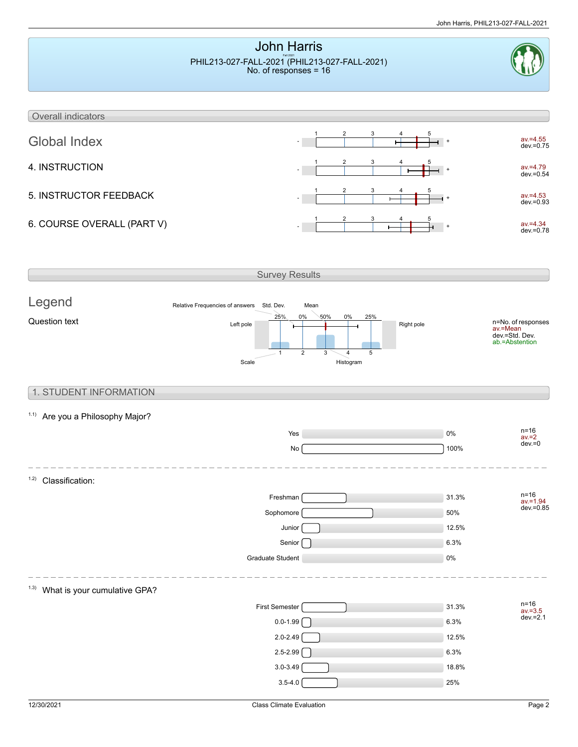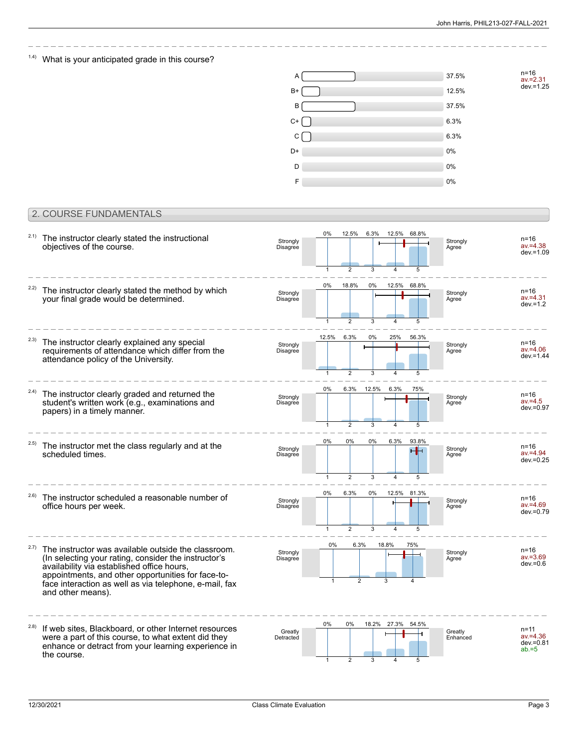n=16 av.=2.31 dev.=1.25

### $1.4$ ) What is your anticipated grade in this course?



#### 2. COURSE FUNDAMENTALS

| 2.1)  | The instructor clearly stated the instructional<br>objectives of the course.                                                                                                                                                                                                                   | Strongly<br>Disagree | 0%         | 12.5%                                    | 6.3%         | 12.5%                                 | 68.8%            | Strongly<br>Agree   | $n=16$<br>$av = 4.38$<br>$dev = 1.09$               |
|-------|------------------------------------------------------------------------------------------------------------------------------------------------------------------------------------------------------------------------------------------------------------------------------------------------|----------------------|------------|------------------------------------------|--------------|---------------------------------------|------------------|---------------------|-----------------------------------------------------|
| 2.2)  | The instructor clearly stated the method by which<br>your final grade would be determined.                                                                                                                                                                                                     | Strongly<br>Disagree | 0%         | $\overline{2}$<br>18.8%                  | 3<br>0%      |                                       | 5<br>12.5% 68.8% | Strongly<br>Agree   | $n = 16$<br>$av = 4.31$<br>$dev = 1.2$              |
| (2.3) | The instructor clearly explained any special<br>requirements of attendance which differ from the<br>attendance policy of the University.                                                                                                                                                       | Strongly<br>Disagree |            | $\mathfrak{p}$<br>12.5% 6.3%             | 3<br>0%      | 25%                                   | 5<br>56.3%       | Strongly<br>Agree   | $n = 16$<br>$av = 4.06$<br>$dev = 1.44$             |
| 2.4)  | The instructor clearly graded and returned the<br>student's written work (e.g., examinations and<br>papers) in a timely manner.                                                                                                                                                                | Strongly<br>Disagree | 0%         | $\overline{2}$<br>6.3%                   | 3<br>12.5%   | 6.3%                                  | 75%              | Strongly<br>Agree   | $n = 16$<br>$av = 4.5$<br>$dev = 0.97$              |
| 2.5)  | The instructor met the class regularly and at the<br>scheduled times.                                                                                                                                                                                                                          | Strongly<br>Disagree | 1<br>0%    | $\overline{2}$<br>0%                     | 3<br>0%      | 6.3%                                  | 5<br>93.8%       | Strongly<br>Agree   | $n = 16$<br>$av = 4.94$<br>$dev = 0.25$             |
| 2.6)  | The instructor scheduled a reasonable number of<br>office hours per week.                                                                                                                                                                                                                      | Strongly<br>Disagree | 1<br>$0\%$ | $\overline{2}$<br>6.3%<br>$\overline{2}$ | 3<br>0%<br>3 | 4<br>12.5%<br>$\overline{\mathbf{4}}$ | 5<br>81.3%<br>5  | Strongly<br>Agree   | $n=16$<br>$av = 4.69$<br>$dev = 0.79$               |
| 2.7)  | The instructor was available outside the classroom.<br>(In selecting your rating, consider the instructor's<br>availability via established office hours,<br>appointments, and other opportunities for face-to-<br>face interaction as well as via telephone, e-mail, fax<br>and other means). | Strongly<br>Disagree | $0\%$      | 6.3%<br>$\overline{2}$                   |              | 18.8%                                 | 75%              | Strongly<br>Agree   | $n = 16$<br>$av = 3.69$<br>$dev = 0.6$              |
| (2.8) | If web sites, Blackboard, or other Internet resources<br>were a part of this course, to what extent did they<br>enhance or detract from your learning experience in<br>the course.                                                                                                             | Greatly<br>Detracted | 0%<br>1    | 0%<br>$\overline{2}$                     | 18.2%<br>3   | 27.3%<br>$\overline{\mathbf{A}}$      | 54.5%<br>5       | Greatly<br>Enhanced | $n = 11$<br>$av = 4.36$<br>$dev = 0.81$<br>$ab = 5$ |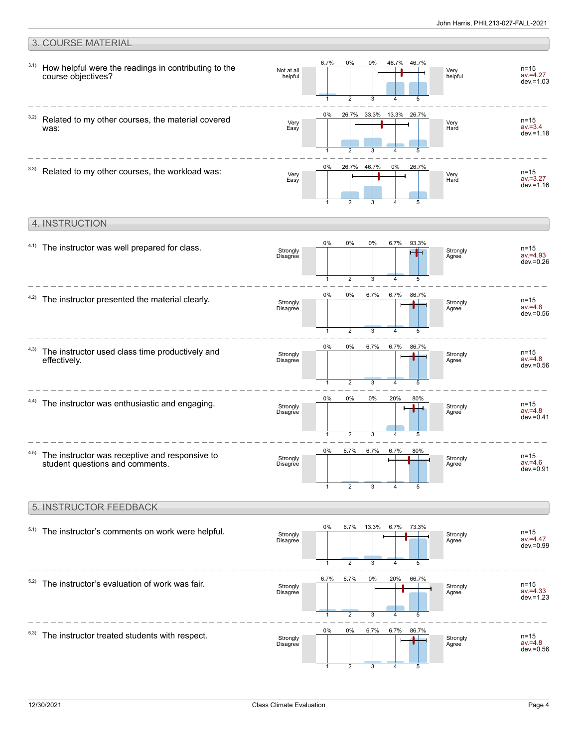#### 3. COURSE MATERIAL How helpful were the readings in contributing to the course objectives? 3.1) Very helpful Not at all helpful n=15 av.=4.27 dev.=1.03 6.7% 1 0%  $\overline{2}$ 0% 3 46.7% 4 46.7% 5 Related to my other courses, the material covered was: 3.2) Very Hard Very Easy n=15 av.=3.4  $dev = 1.18$ 0% 1 26.7%  $\mathcal{D}$ 33.3% 3 13.3% 4 26.7% 5  $3.3)$  Related to my other courses, the workload was: Very Hard Very Easy n=15 av.=3.27  $d$ ev = 1.16 0% 1 26.7% 2 46.7% 3 0% 4 26.7% 5 4. INSTRUCTION



 $5.2)$  The instructor's evaluation of work was fair.



6.7%

6.7%

0%

20%

66.7%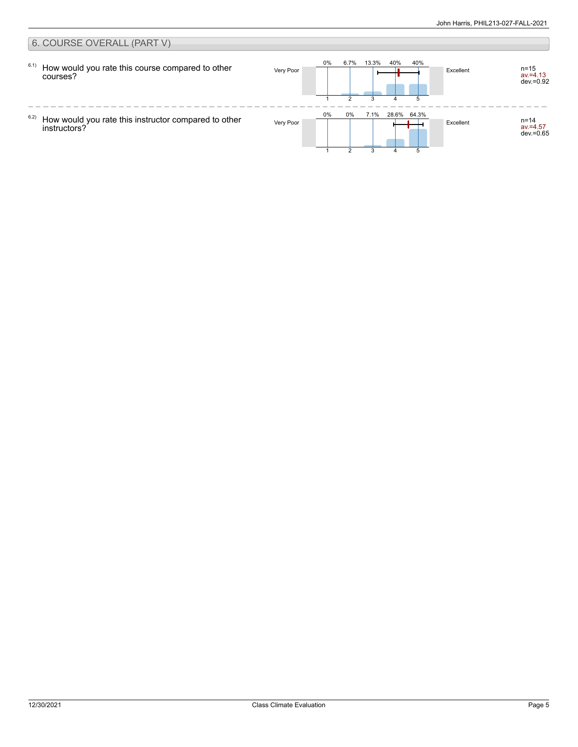#### 6. COURSE OVERALL (PART V) 0% 6.7% 13.3% 40% 40% 6.1) How would you rate this course compared to other Very Poor **Excellent** n=15 av.=4.13 dev.=0.92 courses? 1 2 3 4 5  $\frac{1}{2}$  $- - - -$ 0% 0% 7.1% 6.2) 28.6% 64.3% How would you rate this instructor compared to other Very Poor Excellent n=14 av.=4.57 dev.=0.65 instructors?  $\mathcal{D}$ 3 4 51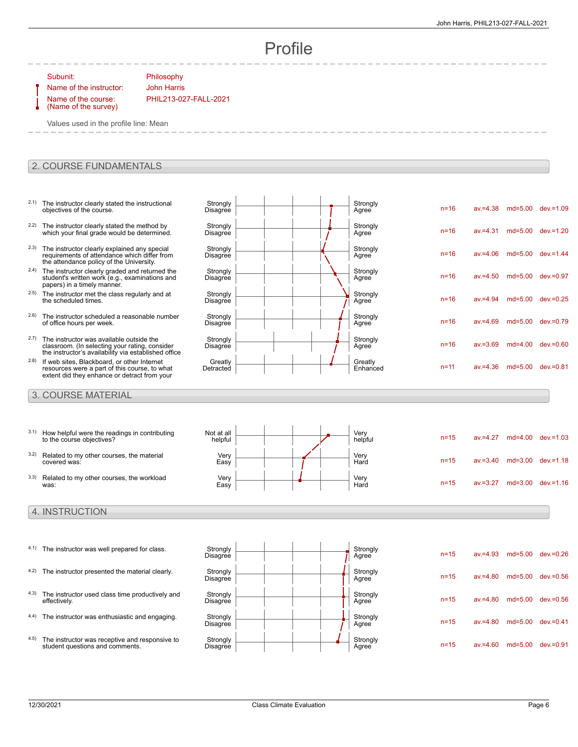n=16 av.=4.38 md=5.00 dev.=1.09

n=16 av.=4.31 md=5.00 dev.=1.20

n=16 av.=4.50 md=5.00 dev.=0.97

n=16 av.=4.94 md=5.00 dev.=0.25

n=16 av.=4.69 md=5.00 dev.=0.79

n=16 av.=3.69 md=4.00 dev.=0.60

 $n=11$  av $=4.36$  md=5.00 dev $=0.81$ 

Agree n=16 av.=4.06 md=5.00 dev.=1.44

# Profile

Strongly<br>Agree

Strongly<br>Agree

Strongly<br>Agree

Strongly<br>Agree

Strongly<br>Agree

Strongly<br>Agree

Strongly<br>Agree

Greatly<br>Enhanced

Subunit: Philosophy

Name of the instructor: John Harris Name of the course: (Name of the survey)

PHIL213-027-FALL-2021

**Strongly** Disagree

**Strongly** Disagree

Strongly **Disagree** 

**Strongly Disagree** 

**Strongly Disagree** 

**Strongly Disagree** 

**Strongly Disagree** 

**Greatly** Detracted

Values used in the profile line: Mean

#### 2. COURSE FUNDAMENTALS

- 2.1) The instructor clearly stated the instructional objectives of the course.
- <sup>2.2)</sup> The instructor clearly stated the method by which your final grade would be determined.
- 2.3) The instructor clearly explained any special requirements of attendance which differ from the attendance policy of the University.
- <sup>2.4)</sup> The instructor clearly graded and returned the student's written work (e.g., examinations and papers) in a timely manner.
- 2.5) The instructor met the class regularly and at the scheduled times.
- 2.6) The instructor scheduled a reasonable number of office hours per week.
- 2.7) The instructor was available outside the classroom. (In selecting your rating, consider the instructor's availability via established office
- 2.8) If web sites, Blackboard, or other Internet resources were a part of this course, to what extent did they enhance or detract from your

#### 3. COURSE MATERIAL

| 3.1) | How helpful were the readings in contributing<br>to the course objectives? | Not at all<br>helpful |  | Very<br>helpful | $n=15$ | av.=4.27    | $md=4.00$ dev $=1.03$  |
|------|----------------------------------------------------------------------------|-----------------------|--|-----------------|--------|-------------|------------------------|
| 3.2) | Related to my other courses, the material<br>covered was:                  | Very<br>Easy          |  | Very<br>Hard    | $n=15$ | $av = 3.40$ | $md=3.00$ dev. $=1.18$ |
| 3.3) | Related to my other courses, the workload<br>was:                          | Very<br>Easy          |  | Very<br>Hard    | $n=15$ | $av = 3.27$ | $md=3.00$ dev $=1.16$  |
|      |                                                                            |                       |  |                 |        |             |                        |

#### 4. INSTRUCTION

- 4.1) The instructor was well prepared for class. Strongly
- 4.2) The instructor presented the material clearly. Strongly
- 4.3) The instructor used class time productively and effectively.
- 4.4) The instructor was enthusiastic and engaging. Strongly
- 4.5) The instructor was receptive and responsive to student questions and comments.



| Strongly<br>Agree | $n = 15$ | $av = 4.93$ | $md = 5.00$ | $dev = 0.26$ |
|-------------------|----------|-------------|-------------|--------------|
| Strongly<br>Agree | $n = 15$ | $av = 4.80$ | $md = 5.00$ | $dev = 0.56$ |
| Strongly<br>Agree | $n = 15$ | $av = 4.80$ | $md = 5.00$ | $dev = 0.56$ |
| Strongly<br>Agree | $n = 15$ | $av = 4.80$ | $md = 5.00$ | $dev = 0.41$ |
| Strongly<br>Agree | $n = 15$ | $av = 4.60$ | $md = 5.00$ | $dev = 0.91$ |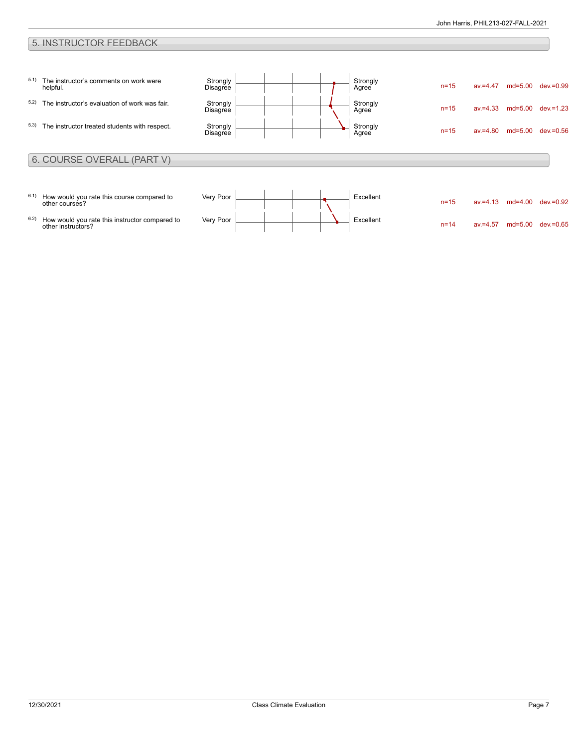### 5. INSTRUCTOR FEEDBACK

| 5.1)<br>5.2)<br>5.3) | The instructor's comments on work were<br>helpful.<br>The instructor's evaluation of work was fair.<br>The instructor treated students with respect. | Strongly<br><b>Disagree</b><br>Strongly<br><b>Disagree</b><br>Strongly<br>Disagree |  | Strongly<br>Agree<br>Strongly<br>Agree<br>Strongly<br>Agree | $n = 15$<br>$n = 15$<br>$n = 15$ | $av = 4.47$<br>$av = 4.33$<br>$av = 4.80$ | md=5.00<br>md=5.00<br>md=5.00 | dev.=0.99<br>dev.=1.23<br>dev.=0.56 |
|----------------------|------------------------------------------------------------------------------------------------------------------------------------------------------|------------------------------------------------------------------------------------|--|-------------------------------------------------------------|----------------------------------|-------------------------------------------|-------------------------------|-------------------------------------|
|                      | 6. COURSE OVERALL (PART V)                                                                                                                           |                                                                                    |  |                                                             |                                  |                                           |                               |                                     |
| 6.1)<br>6.2)         | How would you rate this course compared to<br>other courses?<br>How would you rate this instructor compared to<br>other instructors?                 | Very Poor<br>Very Poor                                                             |  | Excellent<br>Excellent                                      | $n = 15$<br>$n = 14$             | $av = 4.13$<br>$av = 4.57$                | $md=4.00$<br>$md = 5.00$      | $dev = 0.92$<br>dev.=0.65           |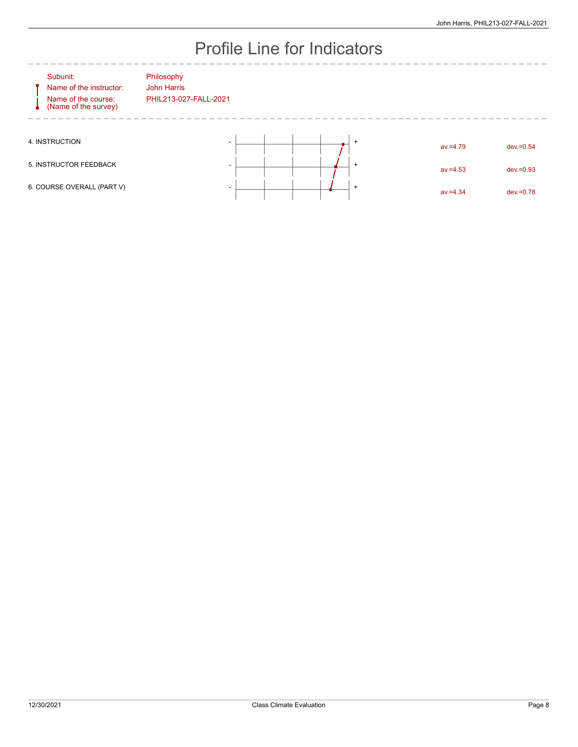# Profile Line for Indicators

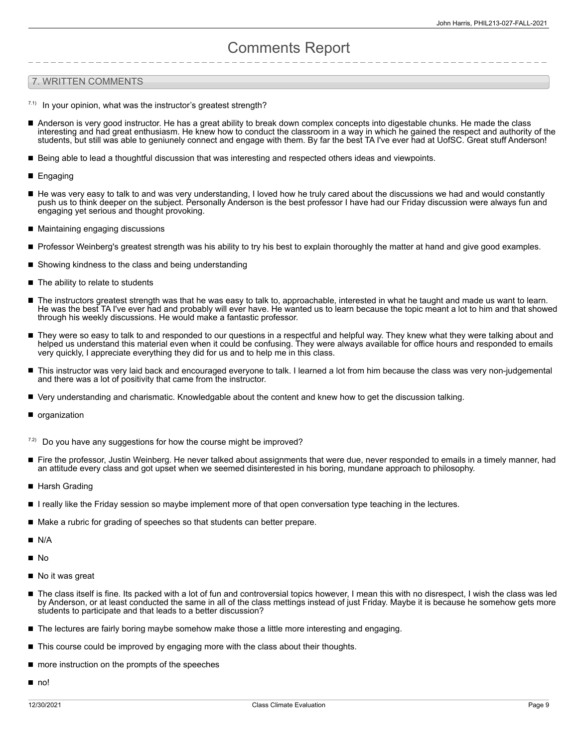## Comments Report

#### 7. WRITTEN COMMENTS

- $17.1$  In your opinion, what was the instructor's greatest strength?
- $\blacksquare$ Anderson is very good instructor. He has a great ability to break down complex concepts into digestable chunks. He made the class interesting and had great enthusiasm. He knew how to conduct the classroom in a way in which he gained the respect and authority of the students, but still was able to geniunely connect and engage with them. By far the best TA I've ever had at UofSC. Great stuff Anderson!
- Being able to lead a thoughtful discussion that was interesting and respected others ideas and viewpoints.
- Engaging
- He was very easy to talk to and was very understanding, I loved how he truly cared about the discussions we had and would constantly push us to think deeper on the subject. Personally Anderson is the best professor I have had our Friday discussion were always fun and engaging yet serious and thought provoking.
- Maintaining engaging discussions
- **Professor Weinberg's greatest strength was his ability to try his best to explain thoroughly the matter at hand and give good examples.**
- Showing kindness to the class and being understanding
- $\blacksquare$  The ability to relate to students
- The instructors greatest strength was that he was easy to talk to, approachable, interested in what he taught and made us want to learn. He was the best TA I've ever had and probably will ever have. He wanted us to learn because the topic meant a lot to him and that showed through his weekly discussions. He would make a fantastic professor.
- They were so easy to talk to and responded to our questions in a respectful and helpful way. They knew what they were talking about and helped us understand this material even when it could be confusing. They were always available for office hours and responded to emails very quickly, I appreciate everything they did for us and to help me in this class.
- This instructor was very laid back and encouraged everyone to talk. I learned a lot from him because the class was very non-judgemental and there was a lot of positivity that came from the instructor.
- Very understanding and charismatic. Knowledgable about the content and knew how to get the discussion talking.
- organization
- $7.2$ ) Do you have any suggestions for how the course might be improved?
- Fire the professor, Justin Weinberg. He never talked about assignments that were due, never responded to emails in a timely manner, had an attitude every class and got upset when we seemed disinterested in his boring, mundane approach to philosophy.
- Harsh Grading
- I really like the Friday session so maybe implement more of that open conversation type teaching in the lectures.
- Make a rubric for grading of speeches so that students can better prepare.
- N/A
- No
- No it was great
- The class itself is fine. Its packed with a lot of fun and controversial topics however, I mean this with no disrespect, I wish the class was led by Anderson, or at least conducted the same in all of the class mettings instead of just Friday. Maybe it is because he somehow gets more students to participate and that leads to a better discussion?
- The lectures are fairly boring maybe somehow make those a little more interesting and engaging.
- $\blacksquare$ This course could be improved by engaging more with the class about their thoughts.
- **namore instruction on the prompts of the speeches**
- $\blacksquare$  no!